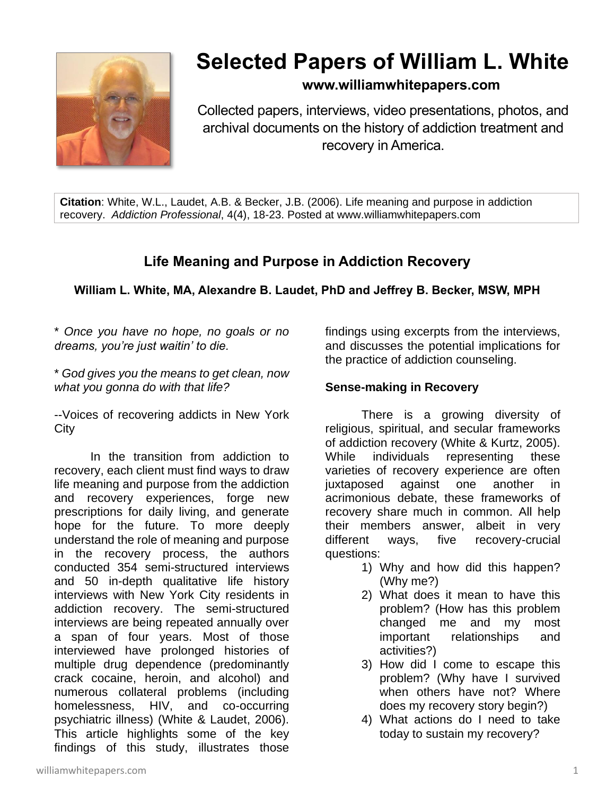

# **Selected Papers of William L. White**

### **www.williamwhitepapers.com**

Collected papers, interviews, video presentations, photos, and archival documents on the history of addiction treatment and recovery in America.

**Citation**: White, W.L., Laudet, A.B. & Becker, J.B. (2006). Life meaning and purpose in addiction recovery. *Addiction Professional*, 4(4), 18-23. Posted at www.williamwhitepapers.com

## **Life Meaning and Purpose in Addiction Recovery**

#### **William L. White, MA, Alexandre B. Laudet, PhD and Jeffrey B. Becker, MSW, MPH**

\* *Once you have no hope, no goals or no dreams, you're just waitin' to die.*

\* *God gives you the means to get clean, now what you gonna do with that life?* 

--Voices of recovering addicts in New York **City** 

In the transition from addiction to recovery, each client must find ways to draw life meaning and purpose from the addiction and recovery experiences, forge new prescriptions for daily living, and generate hope for the future. To more deeply understand the role of meaning and purpose in the recovery process, the authors conducted 354 semi-structured interviews and 50 in-depth qualitative life history interviews with New York City residents in addiction recovery. The semi-structured interviews are being repeated annually over a span of four years. Most of those interviewed have prolonged histories of multiple drug dependence (predominantly crack cocaine, heroin, and alcohol) and numerous collateral problems (including homelessness, HIV, and co-occurring psychiatric illness) (White & Laudet, 2006). This article highlights some of the key findings of this study, illustrates those

findings using excerpts from the interviews, and discusses the potential implications for the practice of addiction counseling.

#### **Sense-making in Recovery**

There is a growing diversity of religious, spiritual, and secular frameworks of addiction recovery (White & Kurtz, 2005). While individuals representing these varieties of recovery experience are often juxtaposed against one another in acrimonious debate, these frameworks of recovery share much in common. All help their members answer, albeit in very different ways, five recovery-crucial questions:

- 1) Why and how did this happen? (Why me?)
- 2) What does it mean to have this problem? (How has this problem changed me and my most important relationships and activities?)
- 3) How did I come to escape this problem? (Why have I survived when others have not? Where does my recovery story begin?)
- 4) What actions do I need to take today to sustain my recovery?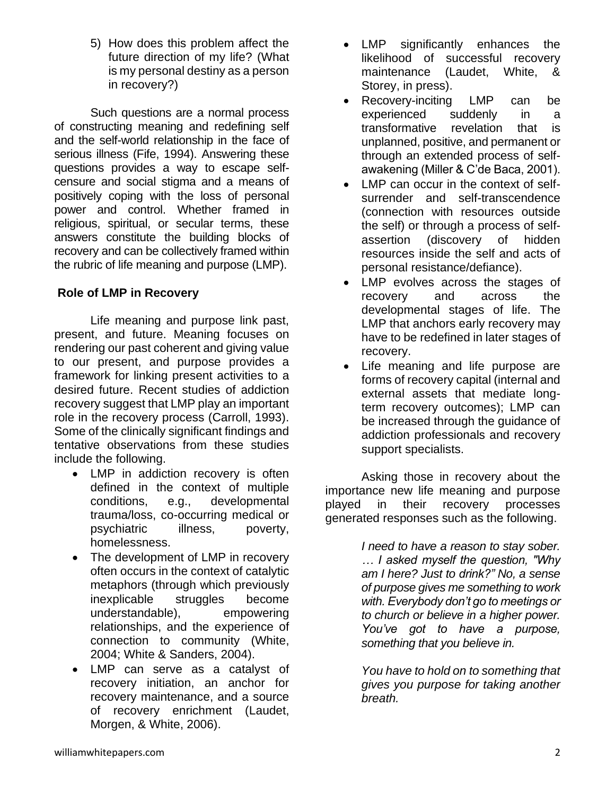5) How does this problem affect the future direction of my life? (What is my personal destiny as a person in recovery?)

Such questions are a normal process of constructing meaning and redefining self and the self-world relationship in the face of serious illness (Fife, 1994). Answering these questions provides a way to escape selfcensure and social stigma and a means of positively coping with the loss of personal power and control. Whether framed in religious, spiritual, or secular terms, these answers constitute the building blocks of recovery and can be collectively framed within the rubric of life meaning and purpose (LMP).

#### **Role of LMP in Recovery**

Life meaning and purpose link past, present, and future. Meaning focuses on rendering our past coherent and giving value to our present, and purpose provides a framework for linking present activities to a desired future. Recent studies of addiction recovery suggest that LMP play an important role in the recovery process (Carroll, 1993). Some of the clinically significant findings and tentative observations from these studies include the following.

- LMP in addiction recovery is often defined in the context of multiple conditions, e.g., developmental trauma/loss, co-occurring medical or psychiatric illness, poverty, homelessness.
- The development of LMP in recovery often occurs in the context of catalytic metaphors (through which previously inexplicable struggles become understandable), empowering relationships, and the experience of connection to community (White, 2004; White & Sanders, 2004).
- LMP can serve as a catalyst of recovery initiation, an anchor for recovery maintenance, and a source of recovery enrichment (Laudet, Morgen, & White, 2006).
- LMP significantly enhances the likelihood of successful recovery maintenance (Laudet, White, & Storey, in press).
- Recovery-inciting LMP can be experienced suddenly in a transformative revelation that is unplanned, positive, and permanent or through an extended process of selfawakening (Miller & C'de Baca, 2001).
- LMP can occur in the context of selfsurrender and self-transcendence (connection with resources outside the self) or through a process of selfassertion (discovery of hidden resources inside the self and acts of personal resistance/defiance).
- LMP evolves across the stages of recovery and across the developmental stages of life. The LMP that anchors early recovery may have to be redefined in later stages of recovery.
- Life meaning and life purpose are forms of recovery capital (internal and external assets that mediate longterm recovery outcomes); LMP can be increased through the guidance of addiction professionals and recovery support specialists.

Asking those in recovery about the importance new life meaning and purpose played in their recovery processes generated responses such as the following.

> *I need to have a reason to stay sober. … I asked myself the question, "Why am I here? Just to drink?" No, a sense of purpose gives me something to work with. Everybody don't go to meetings or to church or believe in a higher power. You've got to have a purpose, something that you believe in.*

> *You have to hold on to something that gives you purpose for taking another breath.*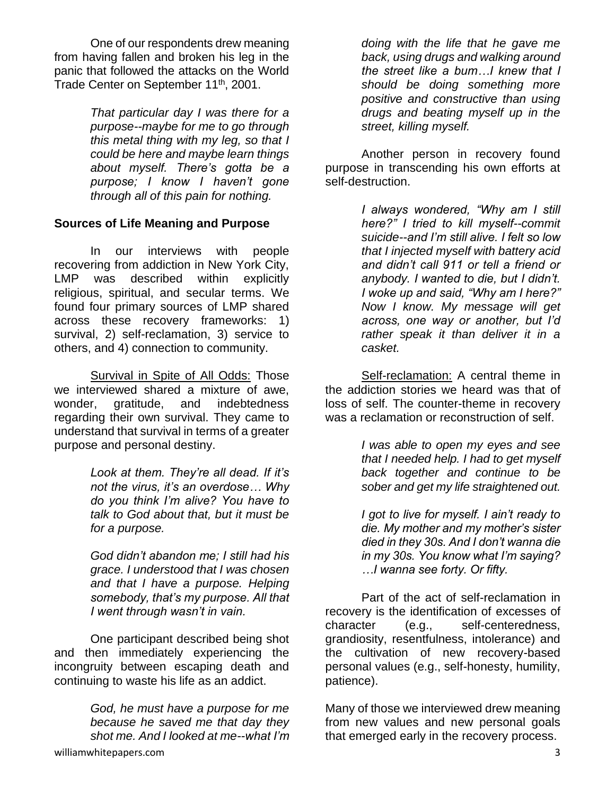One of our respondents drew meaning from having fallen and broken his leg in the panic that followed the attacks on the World Trade Center on September 11<sup>th</sup>, 2001.

> *That particular day I was there for a purpose--maybe for me to go through this metal thing with my leg, so that I could be here and maybe learn things about myself. There's gotta be a purpose; I know I haven't gone through all of this pain for nothing.*

#### **Sources of Life Meaning and Purpose**

In our interviews with people recovering from addiction in New York City, LMP was described within explicitly religious, spiritual, and secular terms. We found four primary sources of LMP shared across these recovery frameworks: 1) survival, 2) self-reclamation, 3) service to others, and 4) connection to community.

Survival in Spite of All Odds: Those we interviewed shared a mixture of awe, wonder, gratitude, and indebtedness regarding their own survival. They came to understand that survival in terms of a greater purpose and personal destiny.

> *Look at them. They're all dead. If it's not the virus, it's an overdose… Why do you think I'm alive? You have to talk to God about that, but it must be for a purpose.*

> *God didn't abandon me; I still had his grace. I understood that I was chosen and that I have a purpose. Helping somebody, that's my purpose. All that I went through wasn't in vain.*

One participant described being shot and then immediately experiencing the incongruity between escaping death and continuing to waste his life as an addict.

> *God, he must have a purpose for me because he saved me that day they shot me. And I looked at me--what I'm*

Another person in recovery found purpose in transcending his own efforts at self-destruction.

> *I always wondered, "Why am I still here?" I tried to kill myself--commit suicide--and I'm still alive. I felt so low that I injected myself with battery acid and didn't call 911 or tell a friend or anybody. I wanted to die, but I didn't. I woke up and said, "Why am I here?" Now I know. My message will get across, one way or another, but I'd rather speak it than deliver it in a casket.*

Self-reclamation: A central theme in the addiction stories we heard was that of loss of self. The counter-theme in recovery was a reclamation or reconstruction of self.

> *I was able to open my eyes and see that I needed help. I had to get myself back together and continue to be sober and get my life straightened out.*

> *I got to live for myself. I ain't ready to die. My mother and my mother's sister died in they 30s. And I don't wanna die in my 30s. You know what I'm saying? …I wanna see forty. Or fifty.*

Part of the act of self-reclamation in recovery is the identification of excesses of character (e.g., self-centeredness, grandiosity, resentfulness, intolerance) and the cultivation of new recovery-based personal values (e.g., self-honesty, humility, patience).

Many of those we interviewed drew meaning from new values and new personal goals that emerged early in the recovery process.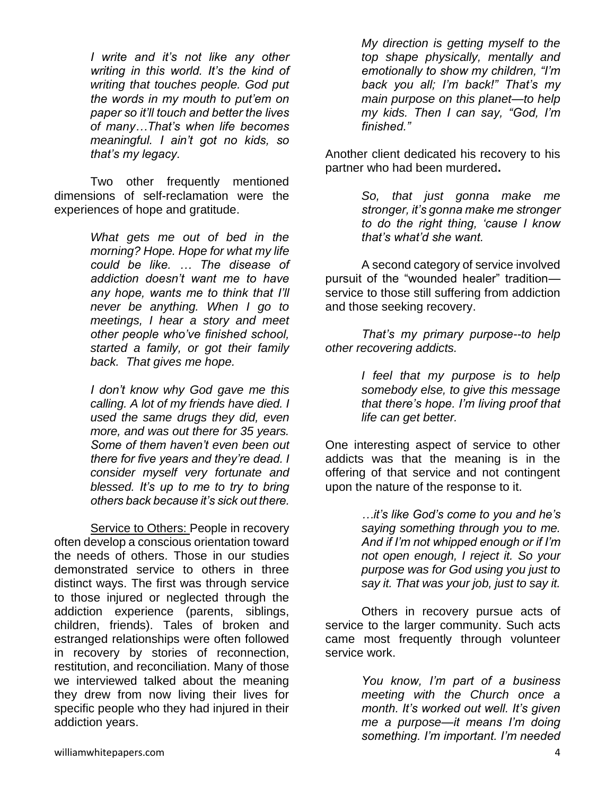*I write and it's not like any other writing in this world. It's the kind of writing that touches people. God put the words in my mouth to put'em on paper so it'll touch and better the lives of many…That's when life becomes meaningful. I ain't got no kids, so that's my legacy.* 

Two other frequently mentioned dimensions of self-reclamation were the experiences of hope and gratitude.

> *What gets me out of bed in the morning? Hope. Hope for what my life could be like. … The disease of addiction doesn't want me to have any hope, wants me to think that I'll never be anything. When I go to meetings, I hear a story and meet other people who've finished school, started a family, or got their family back. That gives me hope.*

> *I don't know why God gave me this calling. A lot of my friends have died. I used the same drugs they did, even more, and was out there for 35 years. Some of them haven't even been out there for five years and they're dead. I consider myself very fortunate and blessed. It's up to me to try to bring others back because it's sick out there.*

Service to Others: People in recovery often develop a conscious orientation toward the needs of others. Those in our studies demonstrated service to others in three distinct ways. The first was through service to those injured or neglected through the addiction experience (parents, siblings, children, friends). Tales of broken and estranged relationships were often followed in recovery by stories of reconnection, restitution, and reconciliation. Many of those we interviewed talked about the meaning they drew from now living their lives for specific people who they had injured in their addiction years.

*My direction is getting myself to the top shape physically, mentally and emotionally to show my children, "I'm back you all; I'm back!" That's my main purpose on this planet—to help my kids. Then I can say, "God, I'm finished."* 

Another client dedicated his recovery to his partner who had been murdered**.**

> *So, that just gonna make me stronger, it's gonna make me stronger to do the right thing, 'cause I know that's what'd she want.*

A second category of service involved pursuit of the "wounded healer" tradition service to those still suffering from addiction and those seeking recovery.

*That's my primary purpose--to help other recovering addicts.*

> *I feel that my purpose is to help somebody else, to give this message that there's hope. I'm living proof that life can get better.*

One interesting aspect of service to other addicts was that the meaning is in the offering of that service and not contingent upon the nature of the response to it.

> *…it's like God's come to you and he's saying something through you to me. And if I'm not whipped enough or if I'm not open enough, I reject it. So your purpose was for God using you just to say it. That was your job, just to say it.*

Others in recovery pursue acts of service to the larger community. Such acts came most frequently through volunteer service work.

> *You know, I'm part of a business meeting with the Church once a month. It's worked out well. It's given me a purpose—it means I'm doing something. I'm important. I'm needed*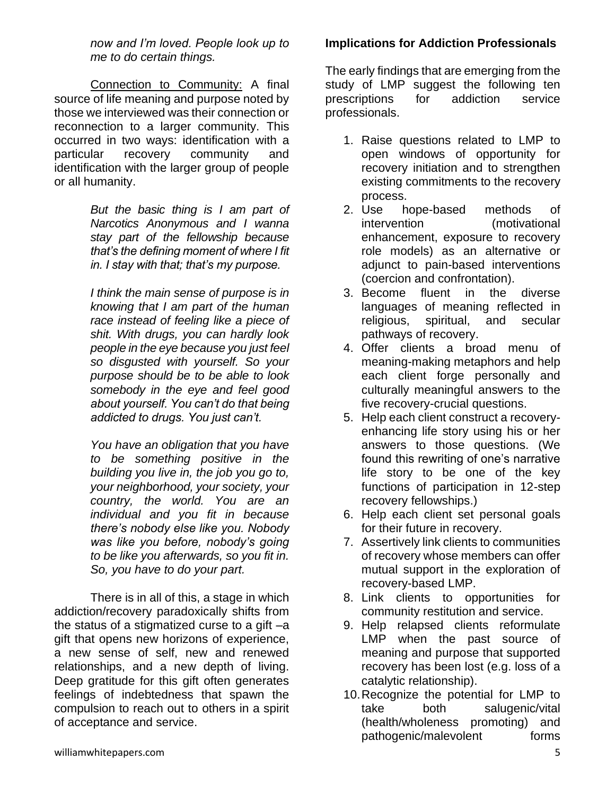*now and I'm loved. People look up to me to do certain things.*

Connection to Community: A final source of life meaning and purpose noted by those we interviewed was their connection or reconnection to a larger community. This occurred in two ways: identification with a particular recovery community and identification with the larger group of people or all humanity.

> *But the basic thing is I am part of Narcotics Anonymous and I wanna stay part of the fellowship because that's the defining moment of where I fit in. I stay with that; that's my purpose.*

> *I think the main sense of purpose is in knowing that I am part of the human race instead of feeling like a piece of shit. With drugs, you can hardly look people in the eye because you just feel so disgusted with yourself. So your purpose should be to be able to look somebody in the eye and feel good about yourself. You can't do that being addicted to drugs. You just can't.*

> *You have an obligation that you have to be something positive in the building you live in, the job you go to, your neighborhood, your society, your country, the world. You are an individual and you fit in because there's nobody else like you. Nobody was like you before, nobody's going to be like you afterwards, so you fit in. So, you have to do your part.*

There is in all of this, a stage in which addiction/recovery paradoxically shifts from the status of a stigmatized curse to a gift –a gift that opens new horizons of experience, a new sense of self, new and renewed relationships, and a new depth of living. Deep gratitude for this gift often generates feelings of indebtedness that spawn the compulsion to reach out to others in a spirit of acceptance and service.

#### **Implications for Addiction Professionals**

The early findings that are emerging from the study of LMP suggest the following ten prescriptions for addiction service professionals.

- 1. Raise questions related to LMP to open windows of opportunity for recovery initiation and to strengthen existing commitments to the recovery process.
- 2. Use hope-based methods of intervention (motivational enhancement, exposure to recovery role models) as an alternative or adjunct to pain-based interventions (coercion and confrontation).
- 3. Become fluent in the diverse languages of meaning reflected in religious, spiritual, and secular pathways of recovery.
- 4. Offer clients a broad menu of meaning-making metaphors and help each client forge personally and culturally meaningful answers to the five recovery-crucial questions.
- 5. Help each client construct a recoveryenhancing life story using his or her answers to those questions. (We found this rewriting of one's narrative life story to be one of the key functions of participation in 12-step recovery fellowships.)
- 6. Help each client set personal goals for their future in recovery.
- 7. Assertively link clients to communities of recovery whose members can offer mutual support in the exploration of recovery-based LMP.
- 8. Link clients to opportunities for community restitution and service.
- 9. Help relapsed clients reformulate LMP when the past source of meaning and purpose that supported recovery has been lost (e.g. loss of a catalytic relationship).
- 10.Recognize the potential for LMP to take both salugenic/vital (health/wholeness promoting) and pathogenic/malevolent forms